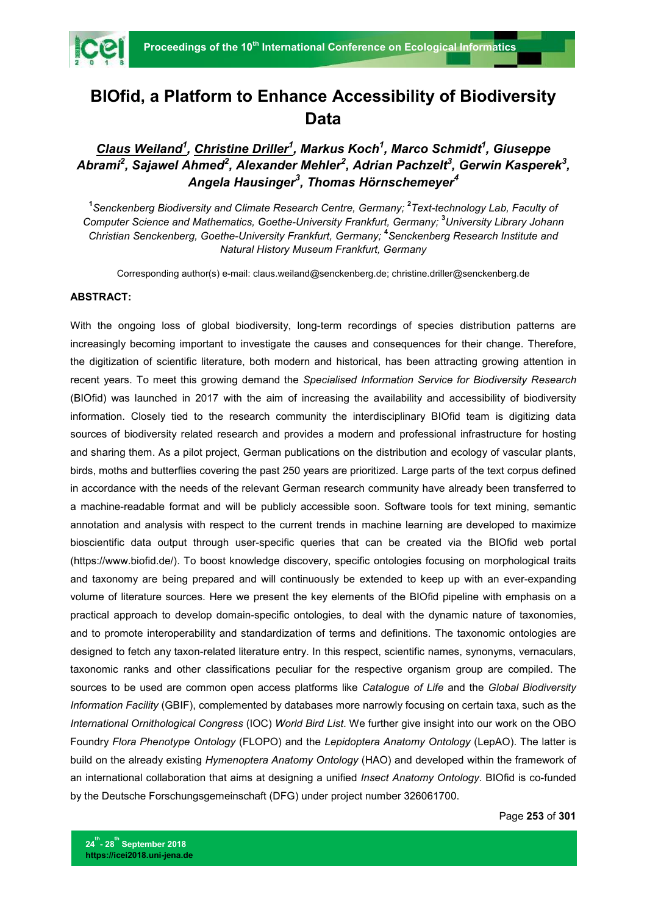

## **BIOfid, a Platform to Enhance Accessibility of Biodiversity Data**

## *Claus Weiland1 , Christine Driller<sup>1</sup> , Markus Koch1 , Marco Schmidt1 , Giuseppe*   $\boldsymbol{\mathsf{A} b r a m} i^{2}$ , Sajawel Ahmed $^{2}$ , Alexander Mehler $^{2}$ , Adrian Pachzelt $^{3}$ , Gerwin Kasperek $^{3}$ , *Angela Hausinger<sup>3</sup> , Thomas Hörnschemeyer<sup>4</sup>*

**1** *Senckenberg Biodiversity and Climate Research Centre, Germany;* **<sup>2</sup>** *Text-technology Lab, Faculty of Computer Science and Mathematics, Goethe-University Frankfurt, Germany;* **<sup>3</sup>** *University Library Johann Christian Senckenberg, Goethe-University Frankfurt, Germany;* **<sup>4</sup>** *Senckenberg Research Institute and Natural History Museum Frankfurt, Germany*

Corresponding author(s) e-mail: claus.weiland@senckenberg.de; christine.driller@senckenberg.de

## **ABSTRACT:**

With the ongoing loss of global biodiversity, long-term recordings of species distribution patterns are increasingly becoming important to investigate the causes and consequences for their change. Therefore, the digitization of scientific literature, both modern and historical, has been attracting growing attention in recent years. To meet this growing demand the *Specialised Information Service for Biodiversity Research* (BIOfid) was launched in 2017 with the aim of increasing the availability and accessibility of biodiversity information. Closely tied to the research community the interdisciplinary BIOfid team is digitizing data sources of biodiversity related research and provides a modern and professional infrastructure for hosting and sharing them. As a pilot project, German publications on the distribution and ecology of vascular plants, birds, moths and butterflies covering the past 250 years are prioritized. Large parts of the text corpus defined in accordance with the needs of the relevant German research community have already been transferred to a machine-readable format and will be publicly accessible soon. Software tools for text mining, semantic annotation and analysis with respect to the current trends in machine learning are developed to maximize bioscientific data output through user-specific queries that can be created via the BIOfid web portal (https://www.biofid.de/). To boost knowledge discovery, specific ontologies focusing on morphological traits and taxonomy are being prepared and will continuously be extended to keep up with an ever-expanding volume of literature sources. Here we present the key elements of the BIOfid pipeline with emphasis on a practical approach to develop domain-specific ontologies, to deal with the dynamic nature of taxonomies, and to promote interoperability and standardization of terms and definitions. The taxonomic ontologies are designed to fetch any taxon-related literature entry. In this respect, scientific names, synonyms, vernaculars, taxonomic ranks and other classifications peculiar for the respective organism group are compiled. The sources to be used are common open access platforms like *Catalogue of Life* and the *Global Biodiversity Information Facility* (GBIF), complemented by databases more narrowly focusing on certain taxa, such as the *International Ornithological Congress* (IOC) *World Bird List*. We further give insight into our work on the OBO Foundry *Flora Phenotype Ontology* (FLOPO) and the *Lepidoptera Anatomy Ontology* (LepAO). The latter is build on the already existing *Hymenoptera Anatomy Ontology* (HAO) and developed within the framework of an international collaboration that aims at designing a unified *Insect Anatomy Ontology*. BIOfid is co-funded by the Deutsche Forschungsgemeinschaft (DFG) under project number 326061700.